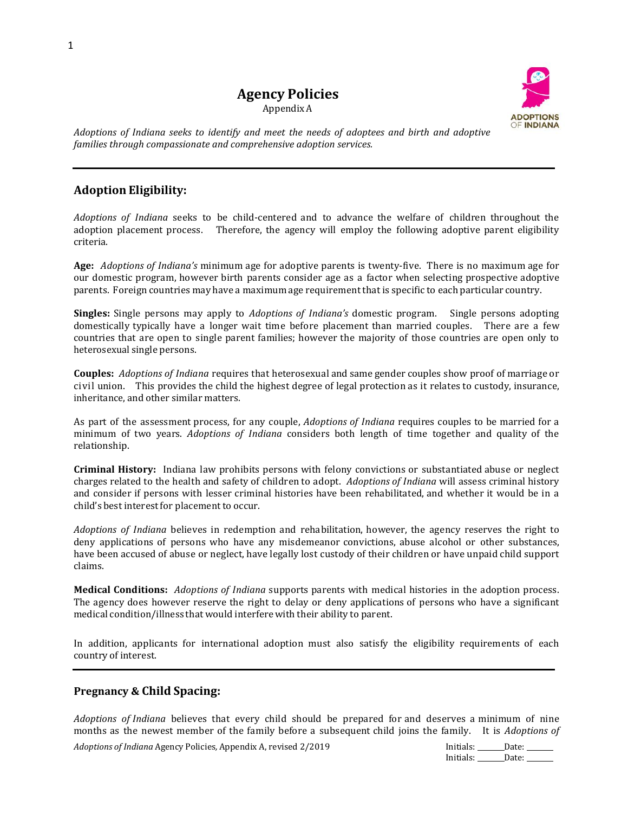# **Agency Policies**

Appendix A



*Adoptions of Indiana seeks to identify and meet the needs of adoptees and birth and adoptive families through compassionate and comprehensive adoption services.*

## **Adoption Eligibility:**

*Adoptions of Indiana* seeks to be child-centered and to advance the welfare of children throughout the adoption placement process. Therefore, the agency will employ the following adoptive parent eligibility criteria.

**Age:** *Adoptions of Indiana's* minimum age for adoptive parents is twenty-five. There is no maximum age for our domestic program, however birth parents consider age as a factor when selecting prospective adoptive parents. Foreign countries may have a maximumage requirementthat is specific to each particular country.

**Singles:** Single persons may apply to *Adoptions of Indiana's* domestic program. Single persons adopting domestically typically have a longer wait time before placement than married couples. There are a few countries that are open to single parent families; however the majority of those countries are open only to heterosexual single persons.

**Couples:** *Adoptions of Indiana* requires that heterosexual and same gender couples show proof of marriage or civil union. This provides the child the highest degree of legal protection as it relates to custody, insurance, inheritance, and other similar matters.

As part of the assessment process, for any couple, *Adoptions of Indiana* requires couples to be married for a minimum of two years. *Adoptions of Indiana* considers both length of time together and quality of the relationship.

**Criminal History:** Indiana law prohibits persons with felony convictions or substantiated abuse or neglect charges related to the health and safety of children to adopt. *Adoptions of Indiana* will assess criminal history and consider if persons with lesser criminal histories have been rehabilitated, and whether it would be in a child's best interest for placement to occur.

*Adoptions of Indiana* believes in redemption and rehabilitation, however, the agency reserves the right to deny applications of persons who have any misdemeanor convictions, abuse alcohol or other substances, have been accused of abuse or neglect, have legally lost custody of their children or have unpaid child support claims.

**Medical Conditions:** *Adoptions of Indiana* supports parents with medical histories in the adoption process. The agency does however reserve the right to delay or deny applications of persons who have a significant medical condition/illness that would interferewith their ability to parent.

In addition, applicants for international adoption must also satisfy the eligibility requirements of each country of interest.

### **Pregnancy & Child Spacing:**

*Adoptions of Indiana* believes that every child should be prepared for and deserves a minimum of nine months as the newest member of the family before a subsequent child joins the family. It is *Adoptions of* 

*Adoptions of Indiana* Agency Policies, Appendix A, revised 2/2019 **Initials:** Date: \_\_\_\_\_Date: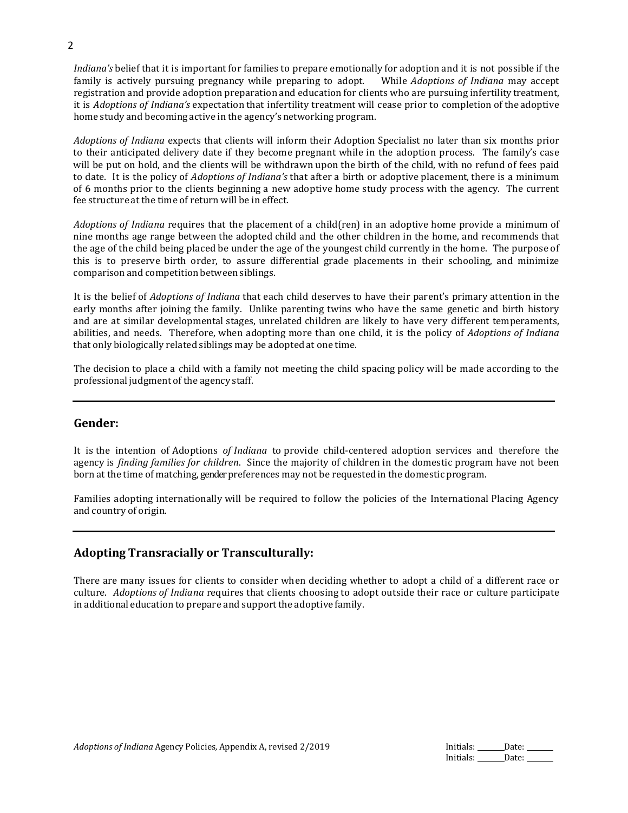*Indiana's* belief that it is important for families to prepare emotionally for adoption and it is not possible if the family is actively pursuing pregnancy while preparing to adopt. While *Adoptions of Indiana* may accept registration and provide adoption preparation and education for clients who are pursuing infertility treatment, it is *Adoptions of Indiana's* expectation that infertility treatment will cease prior to completion of the adoptive home study and becoming active in the agency's networking program.

*Adoptions of Indiana* expects that clients will inform their Adoption Specialist no later than six months prior to their anticipated delivery date if they become pregnant while in the adoption process. The family's case will be put on hold, and the clients will be withdrawn upon the birth of the child, with no refund of fees paid to date. It is the policy of *Adoptions of Indiana's* that after a birth or adoptive placement, there is a minimum of 6 months prior to the clients beginning a new adoptive home study process with the agency. The current fee structure at the time of return will be in effect.

*Adoptions of Indiana* requires that the placement of a child(ren) in an adoptive home provide a minimum of nine months age range between the adopted child and the other children in the home, and recommends that the age of the child being placed be under the age of the youngest child currently in the home. The purpose of this is to preserve birth order, to assure differential grade placements in their schooling, and minimize comparison and competition between siblings.

It is the belief of *Adoptions of Indiana* that each child deserves to have their parent's primary attention in the early months after joining the family. Unlike parenting twins who have the same genetic and birth history and are at similar developmental stages, unrelated children are likely to have very different temperaments, abilities, and needs. Therefore, when adopting more than one child, it is the policy of *Adoptions of Indiana*  that only biologically related siblings may be adopted at one time.

The decision to place a child with a family not meeting the child spacing policy will be made according to the professional judgment of the agency staff.

#### **Gender:**

It is the intention of Adoptions *of Indiana* to provide child-centered adoption services and therefore the agency is *finding families for children*. Since the majority of children in the domestic program have not been born at the time of matching, genderpreferences may not be requested in the domestic program.

Families adopting internationally will be required to follow the policies of the International Placing Agency and country of origin.

### **Adopting Transracially or Transculturally:**

There are many issues for clients to consider when deciding whether to adopt a child of a different race or culture. *Adoptions of Indiana* requires that clients choosing to adopt outside their race or culture participate in additional education to prepare and support the adoptive family.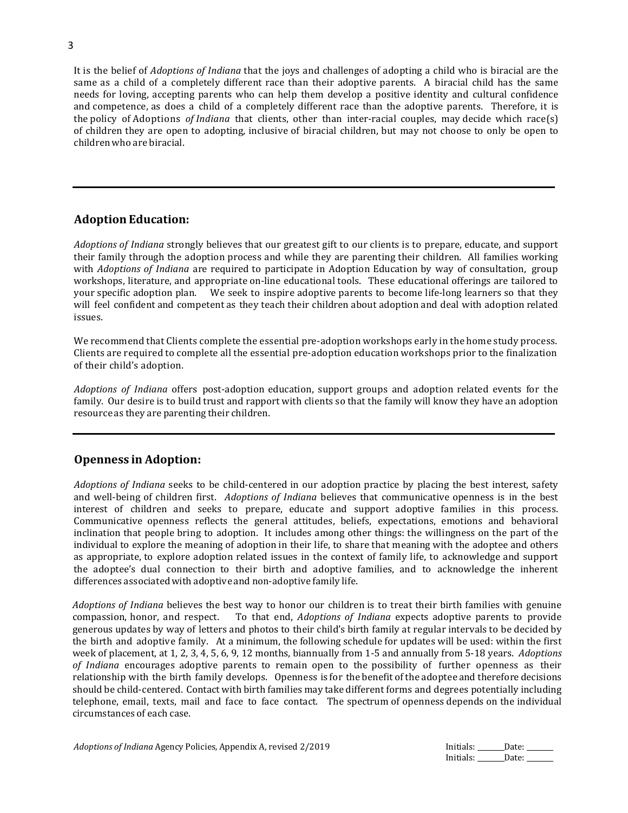It is the belief of *Adoptions of Indiana* that the joys and challenges of adopting a child who is biracial are the same as a child of a completely different race than their adoptive parents. A biracial child has the same needs for loving, accepting parents who can help them develop a positive identity and cultural confidence and competence, as does a child of a completely different race than the adoptive parents. Therefore, it is the policy of Adoptions *of Indiana* that clients, other than inter-racial couples, may decide which race(s) of children they are open to adopting, inclusive of biracial children, but may not choose to only be open to childrenwho are biracial.

# **Adoption Education:**

*Adoptions of Indiana* strongly believes that our greatest gift to our clients is to prepare, educate, and support their family through the adoption process and while they are parenting their children. All families working with *Adoptions of Indiana* are required to participate in Adoption Education by way of consultation, group workshops, literature, and appropriate on-line educational tools. These educational offerings are tailored to your specific adoption plan. We seek to inspire adoptive parents to become life-long learners so that they will feel confident and competent as they teach their children about adoption and deal with adoption related issues.

We recommend that Clients complete the essential pre-adoption workshops early in the home study process. Clients are required to complete all the essential pre-adoption education workshops prior to the finalization of their child's adoption.

*Adoptions of Indiana* offers post-adoption education, support groups and adoption related events for the family. Our desire is to build trust and rapport with clients so that the family will know they have an adoption resource as they are parenting their children.

### **Openness in Adoption:**

*Adoptions of Indiana* seeks to be child-centered in our adoption practice by placing the best interest, safety and well-being of children first. *Adoptions of Indiana* believes that communicative openness is in the best interest of children and seeks to prepare, educate and support adoptive families in this process. Communicative openness reflects the general attitudes, beliefs, expectations, emotions and behavioral inclination that people bring to adoption. It includes among other things: the willingness on the part of the individual to explore the meaning of adoption in their life, to share that meaning with the adoptee and others as appropriate, to explore adoption related issues in the context of family life, to acknowledge and support the adoptee's dual connection to their birth and adoptive families, and to acknowledge the inherent differences associatedwith adoptive and non-adoptive family life.

*Adoptions of Indiana* believes the best way to honor our children is to treat their birth families with genuine compassion, honor, and respect. To that end, *Adoptions of Indiana* expects adoptive parents to provide generous updates by way of letters and photos to their child's birth family at regular intervals to be decided by the birth and adoptive family. At a minimum, the following schedule for updates will be used: within the first week of placement, at 1, 2, 3, 4, 5, 6, 9, 12 months, biannually from 1-5 and annually from 5-18 years. *Adoptions of Indiana* encourages adoptive parents to remain open to the possibility of further openness as their relationship with the birth family develops. Openness is for the benefit of the adoptee and therefore decisions should be child-centered. Contact with birth families may take different forms and degrees potentially including telephone, email, texts, mail and face to face contact. The spectrum of openness depends on the individual circumstances of each case.

| Adoptions of Indiana Agency Policies, Appendix A, revised 2/2019 |  |
|------------------------------------------------------------------|--|
|------------------------------------------------------------------|--|

*Initials:* Date: Initials: \_\_\_\_\_\_\_ Date: \_\_\_\_\_\_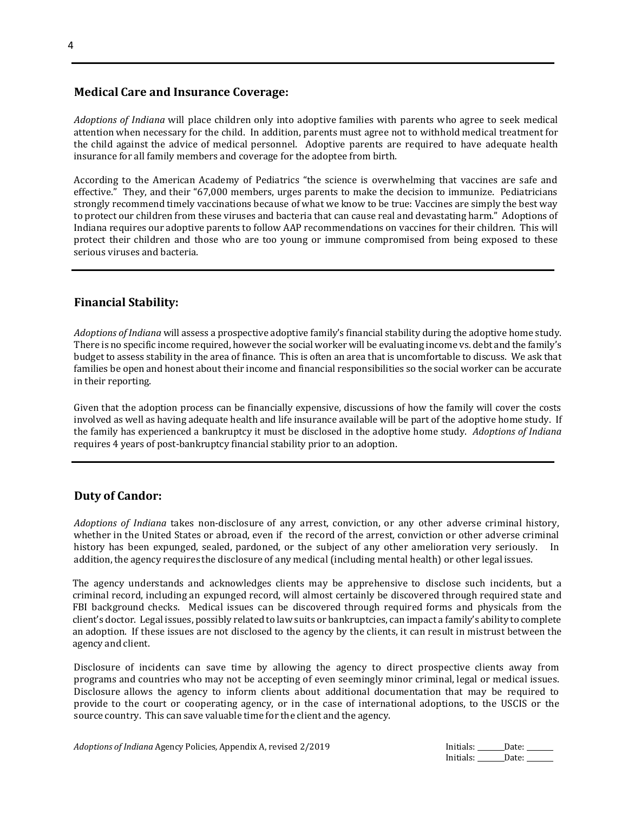#### **Medical Care and Insurance Coverage:**

*Adoptions of Indiana* will place children only into adoptive families with parents who agree to seek medical attention when necessary for the child. In addition, parents must agree not to withhold medical treatment for the child against the advice of medical personnel. Adoptive parents are required to have adequate health insurance for all family members and coverage for the adoptee from birth.

According to the American Academy of Pediatrics "the science is overwhelming that vaccines are safe and effective." They, and their "67,000 members, urges parents to make the decision to immunize. Pediatricians strongly recommend timely vaccinations because of what we know to be true: Vaccines are simply the best way to protect our children from these viruses and bacteria that can cause real and devastating harm." Adoptions of Indiana requires our adoptive parents to follow AAP recommendations on vaccines for their children. This will protect their children and those who are too young or immune compromised from being exposed to these serious viruses and bacteria.

## **Financial Stability:**

*Adoptions of Indiana* will assess a prospective adoptive family's financial stability during the adoptive home study. There is no specific income required, however the social worker will be evaluating income vs. debt and the family's budget to assess stability in the area of finance. This is often an area that is uncomfortable to discuss. We ask that families be open and honest about their income and financial responsibilities so the social worker can be accurate in their reporting.

Given that the adoption process can be financially expensive, discussions of how the family will cover the costs involved as well as having adequate health and life insurance available will be part of the adoptive home study. If the family has experienced a bankruptcy it must be disclosed in the adoptive home study. *Adoptions of Indiana* requires 4 years of post-bankruptcy financial stability prior to an adoption.

### **Duty of Candor:**

*Adoptions of Indiana* takes non-disclosure of any arrest, conviction, or any other adverse criminal history, whether in the United States or abroad, even if the record of the arrest, conviction or other adverse criminal history has been expunged, sealed, pardoned, or the subject of any other amelioration very seriously. In addition,the agency requires the disclosure of any medical (including mental health) or other legal issues.

The agency understands and acknowledges clients may be apprehensive to disclose such incidents, but a criminal record, including an expunged record, will almost certainly be discovered through required state and FBI background checks. Medical issues can be discovered through required forms and physicals from the client's doctor. Legal issues, possibly related to law suits or bankruptcies, can impact a family's ability to complete an adoption. If these issues are not disclosed to the agency by the clients, it can result in mistrust between the agency and client.

Disclosure of incidents can save time by allowing the agency to direct prospective clients away from programs and countries who may not be accepting of even seemingly minor criminal, legal or medical issues. Disclosure allows the agency to inform clients about additional documentation that may be required to provide to the court or cooperating agency, or in the case of international adoptions, to the USCIS or the source country. This can save valuable time for the client and the agency.

| Adoptions of Indiana Agency Policies, Appendix A, revised 2/2019 | Initials: | Date: |
|------------------------------------------------------------------|-----------|-------|
|                                                                  | Initials: | Date: |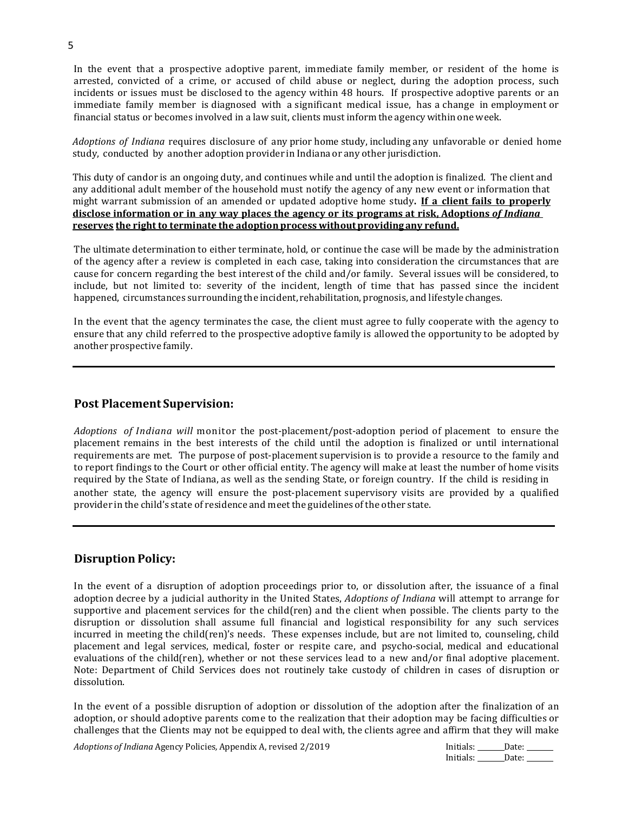In the event that a prospective adoptive parent, immediate family member, or resident of the home is arrested, convicted of a crime, or accused of child abuse or neglect, during the adoption process, such incidents or issues must be disclosed to the agency within 48 hours. If prospective adoptive parents or an immediate family member is diagnosed with a significant medical issue, has a change in employment or financial status or becomes involved in a law suit, clients must inform the agency within one week.

*Adoptions of Indiana* requires disclosure of any prior home study, including any unfavorable or denied home study, conducted by another adoption provider in Indiana or any other jurisdiction.

This duty of candor is an ongoing duty, and continues while and until the adoption is finalized. The client and any additional adult member of the household must notify the agency of any new event or information that might warrant submission of an amended or updated adoptive home study**. If a client fails to properly disclose information or in any way places the agency or its programs at risk, Adoptions** *of Indiana* **reserves the right to terminate the adoption process withoutproviding any refund.**

The ultimate determination to either terminate, hold, or continue the case will be made by the administration of the agency after a review is completed in each case, taking into consideration the circumstances that are cause for concern regarding the best interest of the child and/or family. Several issues will be considered, to include, but not limited to: severity of the incident, length of time that has passed since the incident happened, circumstances surrounding the incident, rehabilitation, prognosis, and lifestyle changes.

In the event that the agency terminates the case, the client must agree to fully cooperate with the agency to ensure that any child referred to the prospective adoptive family is allowed the opportunity to be adopted by another prospective family.

#### **Post Placement Supervision:**

*Adoptions of Indiana will* monitor the post-placement/post-adoption period of placement to ensure the placement remains in the best interests of the child until the adoption is finalized or until international requirements are met. The purpose of post-placement supervision is to provide a resource to the family and to report findings to the Court or other official entity. The agency will make at least the number of home visits required by the State of Indiana, as well as the sending State, or foreign country. If the child is residing in another state, the agency will ensure the post-placement supervisory visits are provided by a qualified provider in the child's state of residence and meet the guidelines of the other state.

#### **Disruption Policy:**

In the event of a disruption of adoption proceedings prior to, or dissolution after, the issuance of a final adoption decree by a judicial authority in the United States, *Adoptions of Indiana* will attempt to arrange for supportive and placement services for the child(ren) and the client when possible. The clients party to the disruption or dissolution shall assume full financial and logistical responsibility for any such services incurred in meeting the child(ren)'s needs. These expenses include, but are not limited to, counseling, child placement and legal services, medical, foster or respite care, and psycho-social, medical and educational evaluations of the child(ren), whether or not these services lead to a new and/or final adoptive placement. Note: Department of Child Services does not routinely take custody of children in cases of disruption or dissolution.

In the event of a possible disruption of adoption or dissolution of the adoption after the finalization of an adoption, or should adoptive parents come to the realization that their adoption may be facing difficulties or challenges that the Clients may not be equipped to deal with, the clients agree and affirm that they will make

*Adoptions of Indiana* Agency Policies, Appendix A, revised 2/2019 Initials: Date: Date: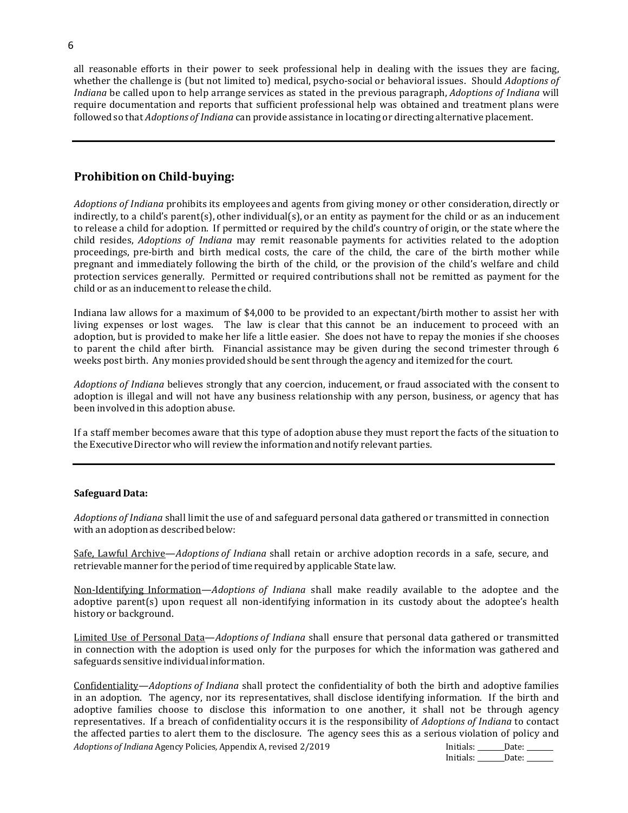all reasonable efforts in their power to seek professional help in dealing with the issues they are facing, whether the challenge is (but not limited to) medical, psycho-social or behavioral issues. Should *Adoptions of Indiana* be called upon to help arrange services as stated in the previous paragraph, *Adoptions of Indiana* will require documentation and reports that sufficient professional help was obtained and treatment plans were followed so that *Adoptions of Indiana* can provide assistance in locating or directing alternative placement.

## **Prohibition on Child-buying:**

*Adoptions of Indiana* prohibits its employees and agents from giving money or other consideration, directly or indirectly, to a child's parent(s), other individual(s), or an entity as payment for the child or as an inducement to release a child for adoption. If permitted or required by the child's country of origin, or the state where the child resides, *Adoptions of Indiana* may remit reasonable payments for activities related to the adoption proceedings, pre-birth and birth medical costs, the care of the child, the care of the birth mother while pregnant and immediately following the birth of the child, or the provision of the child's welfare and child protection services generally. Permitted or required contributions shall not be remitted as payment for the child or as an inducement to release the child.

Indiana law allows for a maximum of \$4,000 to be provided to an expectant/birth mother to assist her with living expenses or lost wages. The law is clear that this cannot be an inducement to proceed with an adoption, but is provided to make her life a little easier. She does not have to repay the monies if she chooses to parent the child after birth. Financial assistance may be given during the second trimester through 6 weeks post birth. Any monies provided should be sent through the agency and itemized for the court.

*Adoptions of Indiana* believes strongly that any coercion, inducement, or fraud associated with the consent to adoption is illegal and will not have any business relationship with any person, business, or agency that has been involved in this adoption abuse.

If a staff member becomes aware that this type of adoption abuse they must report the facts of the situation to the Executive Director who will review the information and notify relevant parties.

#### **Safeguard Data:**

*Adoptions of Indiana* shall limit the use of and safeguard personal data gathered or transmitted in connection with an adoption as described below:

Safe, Lawful Archive—*Adoptions of Indiana* shall retain or archive adoption records in a safe, secure, and retrievable manner for the period of time required by applicable State law.

Non-Identifying Information—*Adoptions of Indiana* shall make readily available to the adoptee and the adoptive parent(s) upon request all non-identifying information in its custody about the adoptee's health history or background.

Limited Use of Personal Data—*Adoptions of Indiana* shall ensure that personal data gathered or transmitted in connection with the adoption is used only for the purposes for which the information was gathered and safeguards sensitive individual information.

*Adoptions of Indiana Agency Policies, Appendix A, revised 2/2019 Initials: Date:* Date: Confidentiality—*Adoptions of Indiana* shall protect the confidentiality of both the birth and adoptive families in an adoption. The agency, nor its representatives, shall disclose identifying information. If the birth and adoptive families choose to disclose this information to one another, it shall not be through agency representatives. If a breach of confidentiality occurs it is the responsibility of *Adoptions of Indiana* to contact the affected parties to alert them to the disclosure. The agency sees this as a serious violation of policy and